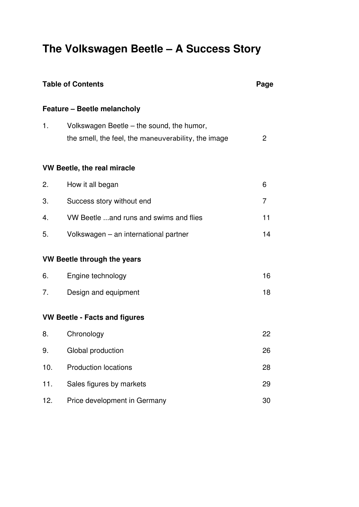# **The Volkswagen Beetle – A Success Story**

| <b>Table of Contents</b> |                                                     | Page           |
|--------------------------|-----------------------------------------------------|----------------|
|                          | Feature - Beetle melancholy                         |                |
| 1.                       | Volkswagen Beetle - the sound, the humor,           |                |
|                          | the smell, the feel, the maneuverability, the image | 2              |
|                          | <b>VW Beetle, the real miracle</b>                  |                |
| 2.                       | How it all began                                    | 6              |
| 3.                       | Success story without end                           | $\overline{7}$ |
| 4.                       | VW Beetle  and runs and swims and flies             | 11             |
| 5.                       | Volkswagen - an international partner               | 14             |
|                          | VW Beetle through the years                         |                |
| 6.                       | Engine technology                                   | 16             |
| 7.                       | Design and equipment                                | 18             |
|                          | <b>VW Beetle - Facts and figures</b>                |                |
| 8.                       | Chronology                                          | 22             |
| 9.                       | Global production                                   | 26             |
| 10.                      | <b>Production locations</b>                         | 28             |
| 11.                      | Sales figures by markets                            | 29             |
| 12.                      | Price development in Germany                        | 30             |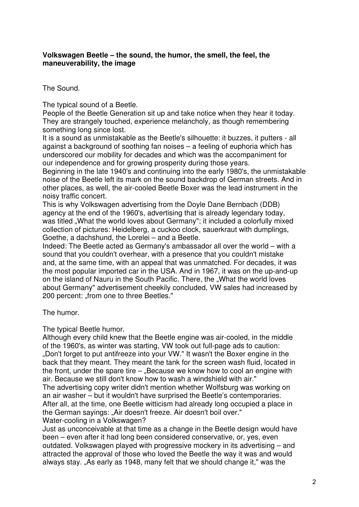## **Volkswagen Beetle – the sound, the humor, the smell, the feel, the maneuverability, the image**

The Sound.

The typical sound of a Beetle.

People of the Beetle Generation sit up and take notice when they hear it today. They are strangely touched, experience melancholy, as though remembering something long since lost.

It is a sound as unmistakable as the Beetle's silhouette: it buzzes, it putters - all against a background of soothing fan noises – a feeling of euphoria which has underscored our mobility for decades and which was the accompaniment for our independence and for growing prosperity during those years.

Beginning in the late 1940's and continuing into the early 1980's, the unmistakable noise of the Beetle left its mark on the sound backdrop of German streets. And in other places, as well, the air-cooled Beetle Boxer was the lead instrument in the noisy traffic concert.

This is why Volkswagen advertising from the Doyle Dane Bernbach (DDB) agency at the end of the 1960's, advertising that is already legendary today, was titled . What the world loves about Germany"; it included a colorfully mixed collection of pictures: Heidelberg, a cuckoo clock, sauerkraut with dumplings, Goethe, a dachshund, the Lorelei – and a Beetle.

Indeed: The Beetle acted as Germany's ambassador all over the world – with a sound that you couldn't overhear, with a presence that you couldn't mistake and, at the same time, with an appeal that was unmatched. For decades, it was the most popular imported car in the USA. And in 1967, it was on the up-and-up on the island of Nauru in the South Pacific. There, the "What the world loves about Germany" advertisement cheekily concluded, VW sales had increased by 200 percent: "from one to three Beetles."

The humor.

The typical Beetle humor.

Although every child knew that the Beetle engine was air-cooled, in the middle of the 1960's, as winter was starting, VW took out full-page ads to caution: ..Don't forget to put antifreeze into your VW." It wasn't the Boxer engine in the back that they meant. They meant the tank for the screen wash fluid, located in the front, under the spare tire  $-$  "Because we know how to cool an engine with air. Because we still don't know how to wash a windshield with air."

The advertising copy writer didn't mention whether Wolfsburg was working on an air washer – but it wouldn't have surprised the Beetle's contemporaries. After all, at the time, one Beetle witticism had already long occupied a place in the German sayings: "Air doesn't freeze. Air doesn't boil over."

Water-cooling in a Volkswagen?

Just as unconceivable at that time as a change in the Beetle design would have been – even after it had long been considered conservative, or, yes, even outdated. Volkswagen played with progressive mockery in its advertising – and attracted the approval of those who loved the Beetle the way it was and would always stay. "As early as 1948, many felt that we should change it," was the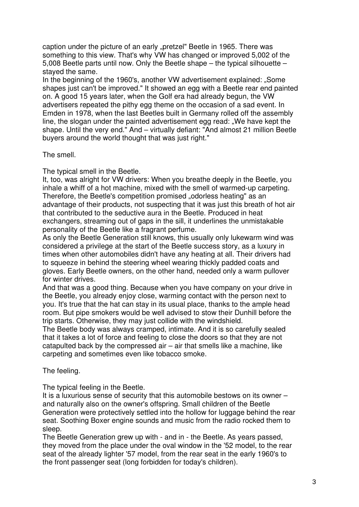caption under the picture of an early "pretzel" Beetle in 1965. There was something to this view. That's why VW has changed or improved 5,002 of the 5,008 Beetle parts until now. Only the Beetle shape – the typical silhouette – stayed the same.

In the beginning of the 1960's, another VW advertisement explained: "Some shapes just can't be improved." It showed an egg with a Beetle rear end painted on. A good 15 years later, when the Golf era had already begun, the VW advertisers repeated the pithy egg theme on the occasion of a sad event. In Emden in 1978, when the last Beetles built in Germany rolled off the assembly line, the slogan under the painted advertisement egg read: "We have kept the shape. Until the very end." And – virtually defiant: "And almost 21 million Beetle buyers around the world thought that was just right."

The smell.

The typical smell in the Beetle.

It, too, was alright for VW drivers: When you breathe deeply in the Beetle, you inhale a whiff of a hot machine, mixed with the smell of warmed-up carpeting. Therefore, the Beetle's competition promised "odorless heating" as an advantage of their products, not suspecting that it was just this breath of hot air that contributed to the seductive aura in the Beetle. Produced in heat exchangers, streaming out of gaps in the sill, it underlines the unmistakable personality of the Beetle like a fragrant perfume.

As only the Beetle Generation still knows, this usually only lukewarm wind was considered a privilege at the start of the Beetle success story, as a luxury in times when other automobiles didn't have any heating at all. Their drivers had to squeeze in behind the steering wheel wearing thickly padded coats and gloves. Early Beetle owners, on the other hand, needed only a warm pullover for winter drives.

And that was a good thing. Because when you have company on your drive in the Beetle, you already enjoy close, warming contact with the person next to you. It's true that the hat can stay in its usual place, thanks to the ample head room. But pipe smokers would be well advised to stow their Dunhill before the trip starts. Otherwise, they may just collide with the windshield.

The Beetle body was always cramped, intimate. And it is so carefully sealed that it takes a lot of force and feeling to close the doors so that they are not catapulted back by the compressed air – air that smells like a machine, like carpeting and sometimes even like tobacco smoke.

The feeling.

The typical feeling in the Beetle.

It is a luxurious sense of security that this automobile bestows on its owner – and naturally also on the owner's offspring. Small children of the Beetle Generation were protectively settled into the hollow for luggage behind the rear seat. Soothing Boxer engine sounds and music from the radio rocked them to sleep.

The Beetle Generation grew up with - and in - the Beetle. As years passed, they moved from the place under the oval window in the '52 model, to the rear seat of the already lighter '57 model, from the rear seat in the early 1960's to the front passenger seat (long forbidden for today's children).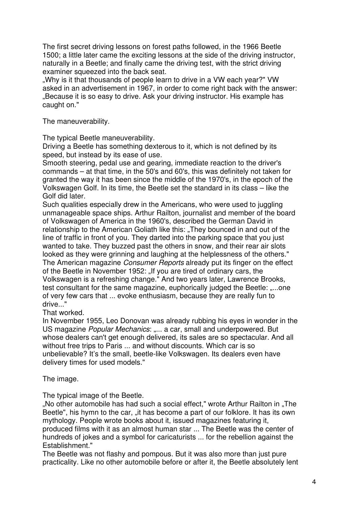The first secret driving lessons on forest paths followed, in the 1966 Beetle 1500; a little later came the exciting lessons at the side of the driving instructor, naturally in a Beetle; and finally came the driving test, with the strict driving examiner squeezed into the back seat.

.Why is it that thousands of people learn to drive in a VW each year?" VW asked in an advertisement in 1967, in order to come right back with the answer: "Because it is so easy to drive. Ask your driving instructor. His example has caught on."

The maneuverability.

The typical Beetle maneuverability.

Driving a Beetle has something dexterous to it, which is not defined by its speed, but instead by its ease of use.

Smooth steering, pedal use and gearing, immediate reaction to the driver's commands – at that time, in the 50's and 60's, this was definitely not taken for granted the way it has been since the middle of the 1970's, in the epoch of the Volkswagen Golf. In its time, the Beetle set the standard in its class – like the Golf did later.

Such qualities especially drew in the Americans, who were used to juggling unmanageable space ships. Arthur Railton, journalist and member of the board of Volkswagen of America in the 1960's, described the German David in relationship to the American Goliath like this: "They bounced in and out of the line of traffic in front of you. They darted into the parking space that you just wanted to take. They buzzed past the others in snow, and their rear air slots looked as they were grinning and laughing at the helplessness of the others." The American magazine *Consumer Reports* already put its finger on the effect of the Beetle in November 1952: "If you are tired of ordinary cars, the Volkswagen is a refreshing change." And two years later, Lawrence Brooks, test consultant for the same magazine, euphorically judged the Beetle: ....one of very few cars that ... evoke enthusiasm, because they are really fun to drive...'

That worked.

In November 1955, Leo Donovan was already rubbing his eyes in wonder in the US magazine *Popular Mechanics*: .... a car, small and underpowered. But whose dealers can't get enough delivered, its sales are so spectacular. And all without free trips to Paris ... and without discounts. Which car is so unbelievable? It's the small, beetle-like Volkswagen. Its dealers even have delivery times for used models."

The image.

The typical image of the Beetle.

".No other automobile has had such a social effect," wrote Arthur Railton in "The Beetle", his hymn to the car, "it has become a part of our folklore. It has its own mythology. People wrote books about it, issued magazines featuring it, produced films with it as an almost human star ... The Beetle was the center of hundreds of jokes and a symbol for caricaturists ... for the rebellion against the Establishment."

The Beetle was not flashy and pompous. But it was also more than just pure practicality. Like no other automobile before or after it, the Beetle absolutely lent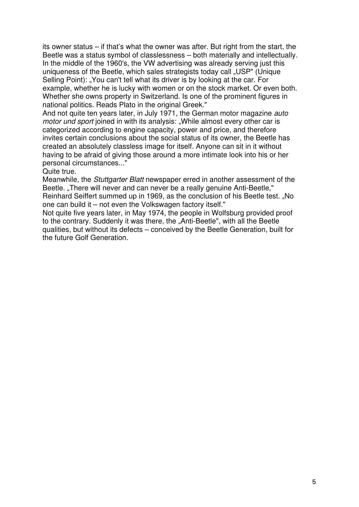its owner status – if that's what the owner was after. But right from the start, the Beetle was a status symbol of classlessness – both materially and intellectually. In the middle of the 1960's, the VW advertising was already serving just this uniqueness of the Beetle, which sales strategists today call "USP" (Unique Selling Point): "You can't tell what its driver is by looking at the car. For example, whether he is lucky with women or on the stock market. Or even both. Whether she owns property in Switzerland. Is one of the prominent figures in national politics. Reads Plato in the original Greek."

And not quite ten years later, in July 1971, the German motor magazine *auto motor und sport* joined in with its analysis: "While almost every other car is categorized according to engine capacity, power and price, and therefore invites certain conclusions about the social status of its owner, the Beetle has created an absolutely classless image for itself. Anyone can sit in it without having to be afraid of giving those around a more intimate look into his or her personal circumstances..."

Quite true.

Meanwhile, the *Stuttgarter Blatt* newspaper erred in another assessment of the Beetle. "There will never and can never be a really genuine Anti-Beetle."

Reinhard Seiffert summed up in 1969, as the conclusion of his Beetle test. "No one can build it – not even the Volkswagen factory itself."

Not quite five years later, in May 1974, the people in Wolfsburg provided proof to the contrary. Suddenly it was there, the "Anti-Beetle", with all the Beetle qualities, but without its defects – conceived by the Beetle Generation, built for the future Golf Generation.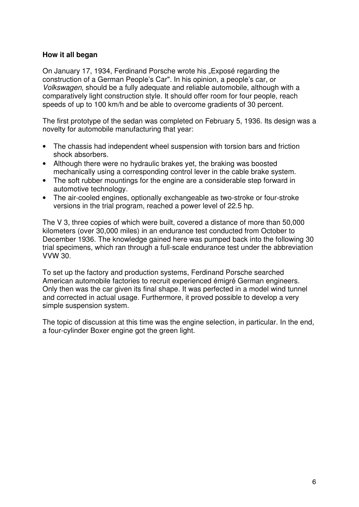## **How it all began**

On January 17, 1934, Ferdinand Porsche wrote his "Exposé regarding the construction of a German People's Car". In his opinion, a people's car, or *Volkswagen*, should be a fully adequate and reliable automobile, although with a comparatively light construction style. It should offer room for four people, reach speeds of up to 100 km/h and be able to overcome gradients of 30 percent.

The first prototype of the sedan was completed on February 5, 1936. Its design was a novelty for automobile manufacturing that year:

- The chassis had independent wheel suspension with torsion bars and friction shock absorbers.
- Although there were no hydraulic brakes yet, the braking was boosted mechanically using a corresponding control lever in the cable brake system.
- The soft rubber mountings for the engine are a considerable step forward in automotive technology.
- The air-cooled engines, optionally exchangeable as two-stroke or four-stroke versions in the trial program, reached a power level of 22.5 hp.

The V 3, three copies of which were built, covered a distance of more than 50,000 kilometers (over 30,000 miles) in an endurance test conducted from October to December 1936. The knowledge gained here was pumped back into the following 30 trial specimens, which ran through a full-scale endurance test under the abbreviation VVW 30.

To set up the factory and production systems, Ferdinand Porsche searched American automobile factories to recruit experienced émigré German engineers. Only then was the car given its final shape. It was perfected in a model wind tunnel and corrected in actual usage. Furthermore, it proved possible to develop a very simple suspension system.

The topic of discussion at this time was the engine selection, in particular. In the end, a four-cylinder Boxer engine got the green light.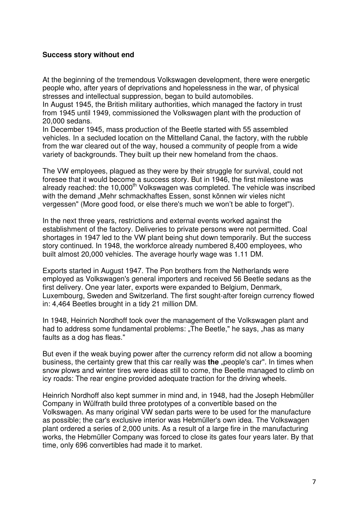## **Success story without end**

At the beginning of the tremendous Volkswagen development, there were energetic people who, after years of deprivations and hopelessness in the war, of physical stresses and intellectual suppression, began to build automobiles.

In August 1945, the British military authorities, which managed the factory in trust from 1945 until 1949, commissioned the Volkswagen plant with the production of 20,000 sedans.

In December 1945, mass production of the Beetle started with 55 assembled vehicles. In a secluded location on the Mittelland Canal, the factory, with the rubble from the war cleared out of the way, housed a community of people from a wide variety of backgrounds. They built up their new homeland from the chaos.

The VW employees, plagued as they were by their struggle for survival, could not foresee that it would become a success story. But in 1946, the first milestone was already reached: the 10,000<sup>th</sup> Volkswagen was completed. The vehicle was inscribed with the demand "Mehr schmackhaftes Essen, sonst können wir vieles nicht vergessen" (More good food, or else there's much we won't be able to forget").

In the next three years, restrictions and external events worked against the establishment of the factory. Deliveries to private persons were not permitted. Coal shortages in 1947 led to the VW plant being shut down temporarily. But the success story continued. In 1948, the workforce already numbered 8,400 employees, who built almost 20,000 vehicles. The average hourly wage was 1.11 DM.

Exports started in August 1947. The Pon brothers from the Netherlands were employed as Volkswagen's general importers and received 56 Beetle sedans as the first delivery. One year later, exports were expanded to Belgium, Denmark, Luxembourg, Sweden and Switzerland. The first sought-after foreign currency flowed in: 4,464 Beetles brought in a tidy 21 million DM.

In 1948, Heinrich Nordhoff took over the management of the Volkswagen plant and had to address some fundamental problems: "The Beetle," he says, "has as many faults as a dog has fleas."

But even if the weak buying power after the currency reform did not allow a booming business, the certainty grew that this car really was **the** "people's car". In times when snow plows and winter tires were ideas still to come, the Beetle managed to climb on icy roads: The rear engine provided adequate traction for the driving wheels.

Heinrich Nordhoff also kept summer in mind and, in 1948, had the Joseph Hebmüller Company in Wülfrath build three prototypes of a convertible based on the Volkswagen. As many original VW sedan parts were to be used for the manufacture as possible; the car's exclusive interior was Hebmüller's own idea. The Volkswagen plant ordered a series of 2,000 units. As a result of a large fire in the manufacturing works, the Hebmüller Company was forced to close its gates four years later. By that time, only 696 convertibles had made it to market.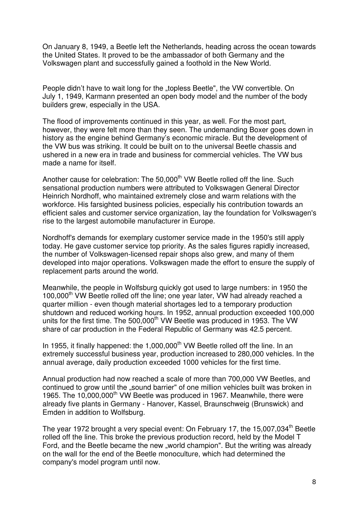On January 8, 1949, a Beetle left the Netherlands, heading across the ocean towards the United States. It proved to be the ambassador of both Germany and the Volkswagen plant and successfully gained a foothold in the New World.

People didn't have to wait long for the "topless Beetle", the VW convertible. On July 1, 1949, Karmann presented an open body model and the number of the body builders grew, especially in the USA.

The flood of improvements continued in this year, as well. For the most part, however, they were felt more than they seen. The undemanding Boxer goes down in history as the engine behind Germany's economic miracle. But the development of the VW bus was striking. It could be built on to the universal Beetle chassis and ushered in a new era in trade and business for commercial vehicles. The VW bus made a name for itself.

Another cause for celebration: The 50,000<sup>th</sup> VW Beetle rolled off the line. Such sensational production numbers were attributed to Volkswagen General Director Heinrich Nordhoff, who maintained extremely close and warm relations with the workforce. His farsighted business policies, especially his contribution towards an efficient sales and customer service organization, lay the foundation for Volkswagen's rise to the largest automobile manufacturer in Europe.

Nordhoff's demands for exemplary customer service made in the 1950's still apply today. He gave customer service top priority. As the sales figures rapidly increased, the number of Volkswagen-licensed repair shops also grew, and many of them developed into major operations. Volkswagen made the effort to ensure the supply of replacement parts around the world.

Meanwhile, the people in Wolfsburg quickly got used to large numbers: in 1950 the 100,000<sup>th</sup> VW Beetle rolled off the line; one year later, VW had already reached a quarter million - even though material shortages led to a temporary production shutdown and reduced working hours. In 1952, annual production exceeded 100,000 units for the first time. The 500,000<sup>th</sup> VW Beetle was produced in 1953. The VW share of car production in the Federal Republic of Germany was 42.5 percent.

In 1955, it finally happened: the 1,000,000<sup>th</sup> VW Beetle rolled off the line. In an extremely successful business year, production increased to 280,000 vehicles. In the annual average, daily production exceeded 1000 vehicles for the first time.

Annual production had now reached a scale of more than 700,000 VW Beetles, and continued to grow until the "sound barrier" of one million vehicles built was broken in 1965. The 10,000,000<sup>th</sup> VW Beetle was produced in 1967. Meanwhile, there were already five plants in Germany - Hanover, Kassel, Braunschweig (Brunswick) and Emden in addition to Wolfsburg.

The year 1972 brought a very special event: On February 17, the 15,007,034<sup>th</sup> Beetle rolled off the line. This broke the previous production record, held by the Model T Ford, and the Beetle became the new "world champion". But the writing was already on the wall for the end of the Beetle monoculture, which had determined the company's model program until now.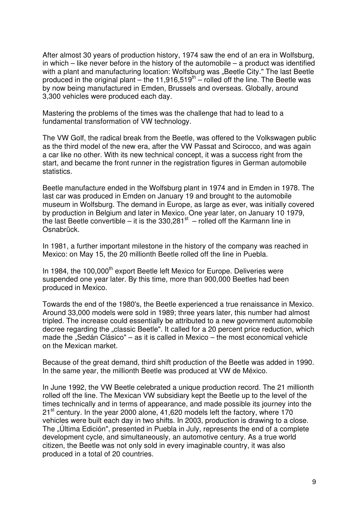After almost 30 years of production history, 1974 saw the end of an era in Wolfsburg, in which – like never before in the history of the automobile – a product was identified with a plant and manufacturing location: Wolfsburg was "Beetle City." The last Beetle produced in the original plant  $-$  the 11,916,519<sup>th</sup>  $-$  rolled off the line. The Beetle was by now being manufactured in Emden, Brussels and overseas. Globally, around 3,300 vehicles were produced each day.

Mastering the problems of the times was the challenge that had to lead to a fundamental transformation of VW technology.

The VW Golf, the radical break from the Beetle, was offered to the Volkswagen public as the third model of the new era, after the VW Passat and Scirocco, and was again a car like no other. With its new technical concept, it was a success right from the start, and became the front runner in the registration figures in German automobile statistics.

Beetle manufacture ended in the Wolfsburg plant in 1974 and in Emden in 1978. The last car was produced in Emden on January 19 and brought to the automobile museum in Wolfsburg. The demand in Europe, as large as ever, was initially covered by production in Belgium and later in Mexico. One year later, on January 10 1979, the last Beetle convertible  $-$  it is the 330,281<sup>st</sup>  $-$  rolled off the Karmann line in Osnabrück.

In 1981, a further important milestone in the history of the company was reached in Mexico: on May 15, the 20 millionth Beetle rolled off the line in Puebla.

In 1984, the 100,000<sup>th</sup> export Beetle left Mexico for Europe. Deliveries were suspended one year later. By this time, more than 900,000 Beetles had been produced in Mexico.

Towards the end of the 1980's, the Beetle experienced a true renaissance in Mexico. Around 33,000 models were sold in 1989; three years later, this number had almost tripled. The increase could essentially be attributed to a new government automobile decree regarding the "classic Beetle". It called for a 20 percent price reduction, which made the "Sedán Clásico" – as it is called in Mexico – the most economical vehicle on the Mexican market.

Because of the great demand, third shift production of the Beetle was added in 1990. In the same year, the millionth Beetle was produced at VW de México.

In June 1992, the VW Beetle celebrated a unique production record. The 21 millionth rolled off the line. The Mexican VW subsidiary kept the Beetle up to the level of the times technically and in terms of appearance, and made possible its journey into the 21<sup>st</sup> century. In the year 2000 alone, 41,620 models left the factory, where 170 vehicles were built each day in two shifts. In 2003, production is drawing to a close. The "Última Edición", presented in Puebla in July, represents the end of a complete development cycle, and simultaneously, an automotive century. As a true world citizen, the Beetle was not only sold in every imaginable country, it was also produced in a total of 20 countries.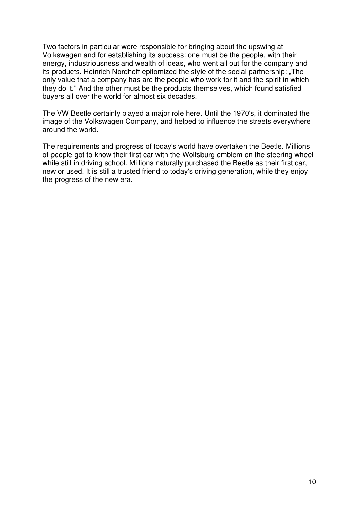Two factors in particular were responsible for bringing about the upswing at Volkswagen and for establishing its success: one must be the people, with their energy, industriousness and wealth of ideas, who went all out for the company and its products. Heinrich Nordhoff epitomized the style of the social partnership: "The only value that a company has are the people who work for it and the spirit in which they do it." And the other must be the products themselves, which found satisfied buyers all over the world for almost six decades.

The VW Beetle certainly played a major role here. Until the 1970's, it dominated the image of the Volkswagen Company, and helped to influence the streets everywhere around the world.

The requirements and progress of today's world have overtaken the Beetle. Millions of people got to know their first car with the Wolfsburg emblem on the steering wheel while still in driving school. Millions naturally purchased the Beetle as their first car, new or used. It is still a trusted friend to today's driving generation, while they enjoy the progress of the new era.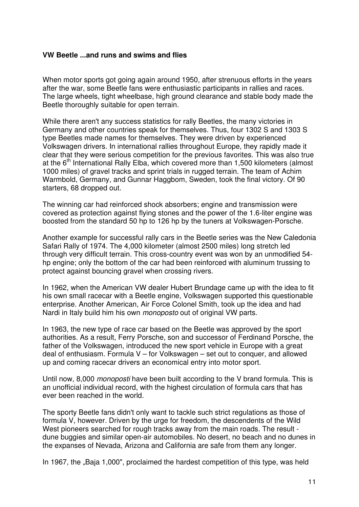#### **VW Beetle ...and runs and swims and flies**

When motor sports got going again around 1950, after strenuous efforts in the years after the war, some Beetle fans were enthusiastic participants in rallies and races. The large wheels, tight wheelbase, high ground clearance and stable body made the Beetle thoroughly suitable for open terrain.

While there aren't any success statistics for rally Beetles, the many victories in Germany and other countries speak for themselves. Thus, four 1302 S and 1303 S type Beetles made names for themselves. They were driven by experienced Volkswagen drivers. In international rallies throughout Europe, they rapidly made it clear that they were serious competition for the previous favorites. This was also true at the 6<sup>th</sup> International Rally Elba, which covered more than 1,500 kilometers (almost 1000 miles) of gravel tracks and sprint trials in rugged terrain. The team of Achim Warmbold, Germany, and Gunnar Haggbom, Sweden, took the final victory. Of 90 starters, 68 dropped out.

The winning car had reinforced shock absorbers; engine and transmission were covered as protection against flying stones and the power of the 1.6-liter engine was boosted from the standard 50 hp to 126 hp by the tuners at Volkswagen-Porsche.

Another example for successful rally cars in the Beetle series was the New Caledonia Safari Rally of 1974. The 4,000 kilometer (almost 2500 miles) long stretch led through very difficult terrain. This cross-country event was won by an unmodified 54 hp engine; only the bottom of the car had been reinforced with aluminum trussing to protect against bouncing gravel when crossing rivers.

In 1962, when the American VW dealer Hubert Brundage came up with the idea to fit his own small racecar with a Beetle engine, Volkswagen supported this questionable enterprise. Another American, Air Force Colonel Smith, took up the idea and had Nardi in Italy build him his own *monoposto* out of original VW parts.

In 1963, the new type of race car based on the Beetle was approved by the sport authorities. As a result, Ferry Porsche, son and successor of Ferdinand Porsche, the father of the Volkswagen, introduced the new sport vehicle in Europe with a great deal of enthusiasm. Formula V – for Volkswagen – set out to conquer, and allowed up and coming racecar drivers an economical entry into motor sport.

Until now, 8,000 *monoposti* have been built according to the V brand formula. This is an unofficial individual record, with the highest circulation of formula cars that has ever been reached in the world.

The sporty Beetle fans didn't only want to tackle such strict regulations as those of formula V, however. Driven by the urge for freedom, the descendents of the Wild West pioneers searched for rough tracks away from the main roads. The result dune buggies and similar open-air automobiles. No desert, no beach and no dunes in the expanses of Nevada, Arizona and California are safe from them any longer.

In 1967, the "Baja 1,000", proclaimed the hardest competition of this type, was held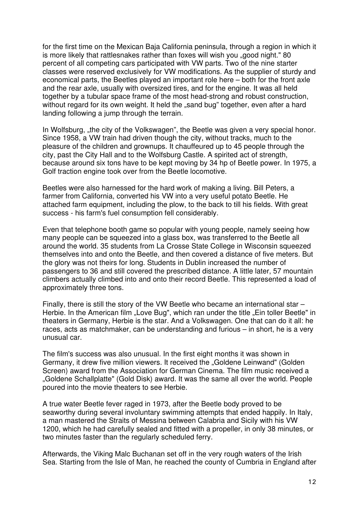for the first time on the Mexican Baja California peninsula, through a region in which it is more likely that rattlesnakes rather than foxes will wish you "good night." 80 percent of all competing cars participated with VW parts. Two of the nine starter classes were reserved exclusively for VW modifications. As the supplier of sturdy and economical parts, the Beetles played an important role here – both for the front axle and the rear axle, usually with oversized tires, and for the engine. It was all held together by a tubular space frame of the most head-strong and robust construction, without regard for its own weight. It held the "sand bug" together, even after a hard landing following a jump through the terrain.

In Wolfsburg, "the city of the Volkswagen", the Beetle was given a very special honor. Since 1958, a VW train had driven though the city, without tracks, much to the pleasure of the children and grownups. It chauffeured up to 45 people through the city, past the City Hall and to the Wolfsburg Castle. A spirited act of strength, because around six tons have to be kept moving by 34 hp of Beetle power. In 1975, a Golf traction engine took over from the Beetle locomotive.

Beetles were also harnessed for the hard work of making a living. Bill Peters, a farmer from California, converted his VW into a very useful potato Beetle. He attached farm equipment, including the plow, to the back to till his fields. With great success - his farm's fuel consumption fell considerably.

Even that telephone booth game so popular with young people, namely seeing how many people can be squeezed into a glass box, was transferred to the Beetle all around the world. 35 students from La Crosse State College in Wisconsin squeezed themselves into and onto the Beetle, and then covered a distance of five meters. But the glory was not theirs for long. Students in Dublin increased the number of passengers to 36 and still covered the prescribed distance. A little later, 57 mountain climbers actually climbed into and onto their record Beetle. This represented a load of approximately three tons.

Finally, there is still the story of the VW Beetle who became an international star – Herbie. In the American film "Love Bug", which ran under the title "Ein toller Beetle" in theaters in Germany, Herbie is the star. And a Volkswagen. One that can do it all: he races, acts as matchmaker, can be understanding and furious – in short, he is a very unusual car.

The film's success was also unusual. In the first eight months it was shown in Germany, it drew five million viewers. It received the "Goldene Leinwand" (Golden Screen) award from the Association for German Cinema. The film music received a "Goldene Schallplatte" (Gold Disk) award. It was the same all over the world. People poured into the movie theaters to see Herbie.

A true water Beetle fever raged in 1973, after the Beetle body proved to be seaworthy during several involuntary swimming attempts that ended happily. In Italy, a man mastered the Straits of Messina between Calabria and Sicily with his VW 1200, which he had carefully sealed and fitted with a propeller, in only 38 minutes, or two minutes faster than the regularly scheduled ferry.

Afterwards, the Viking Malc Buchanan set off in the very rough waters of the Irish Sea. Starting from the Isle of Man, he reached the county of Cumbria in England after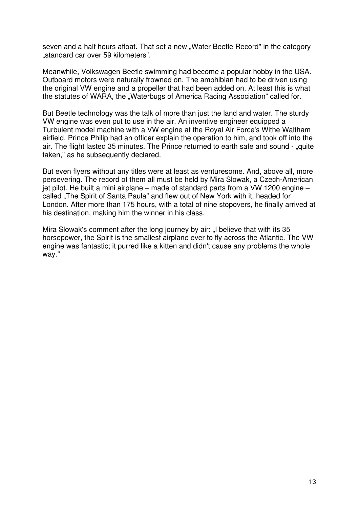seven and a half hours afloat. That set a new "Water Beetle Record" in the category "standard car over 59 kilometers".

Meanwhile, Volkswagen Beetle swimming had become a popular hobby in the USA. Outboard motors were naturally frowned on. The amphibian had to be driven using the original VW engine and a propeller that had been added on. At least this is what the statutes of WARA, the "Waterbugs of America Racing Association" called for.

But Beetle technology was the talk of more than just the land and water. The sturdy VW engine was even put to use in the air. An inventive engineer equipped a Turbulent model machine with a VW engine at the Royal Air Force's Withe Waltham airfield. Prince Philip had an officer explain the operation to him, and took off into the air. The flight lasted 35 minutes. The Prince returned to earth safe and sound - "quite taken," as he subsequently declared.

But even flyers without any titles were at least as venturesome. And, above all, more persevering. The record of them all must be held by Mira Slowak, a Czech-American jet pilot. He built a mini airplane – made of standard parts from a VW 1200 engine – called "The Spirit of Santa Paula" and flew out of New York with it, headed for London. After more than 175 hours, with a total of nine stopovers, he finally arrived at his destination, making him the winner in his class.

Mira Slowak's comment after the long journey by air: "I believe that with its 35 horsepower, the Spirit is the smallest airplane ever to fly across the Atlantic. The VW engine was fantastic; it purred like a kitten and didn't cause any problems the whole way."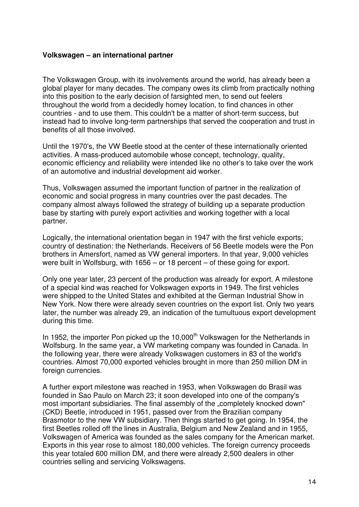#### **Volkswagen – an international partner**

The Volkswagen Group, with its involvements around the world, has already been a global player for many decades. The company owes its climb from practically nothing into this position to the early decision of farsighted men, to send out feelers throughout the world from a decidedly homey location, to find chances in other countries - and to use them. This couldn't be a matter of short-term success, but instead had to involve long-term partnerships that served the cooperation and trust in benefits of all those involved.

Until the 1970's, the VW Beetle stood at the center of these internationally oriented activities. A mass-produced automobile whose concept, technology, quality, economic efficiency and reliability were intended like no other's to take over the work of an automotive and industrial development aid worker.

Thus, Volkswagen assumed the important function of partner in the realization of economic and social progress in many countries over the past decades. The company almost always followed the strategy of building up a separate production base by starting with purely export activities and working together with a local partner.

Logically, the international orientation began in 1947 with the first vehicle exports; country of destination: the Netherlands. Receivers of 56 Beetle models were the Pon brothers in Amersfort, named as VW general importers. In that year, 9,000 vehicles were built in Wolfsburg, with 1656 – or 18 percent – of these going for export.

Only one year later, 23 percent of the production was already for export. A milestone of a special kind was reached for Volkswagen exports in 1949. The first vehicles were shipped to the United States and exhibited at the German Industrial Show in New York. Now there were already seven countries on the export list. Only two years later, the number was already 29, an indication of the tumultuous export development during this time.

In 1952, the importer Pon picked up the 10,000<sup>th</sup> Volkswagen for the Netherlands in Wolfsburg. In the same year, a VW marketing company was founded in Canada. In the following year, there were already Volkswagen customers in 83 of the world's countries. Almost 70,000 exported vehicles brought in more than 250 million DM in foreign currencies.

A further export milestone was reached in 1953, when Volkswagen do Brasil was founded in Sao Paulo on March 23; it soon developed into one of the company's most important subsidiaries. The final assembly of the "completely knocked down" (CKD) Beetle, introduced in 1951, passed over from the Brazilian company Brasmotor to the new VW subsidiary. Then things started to get going. In 1954, the first Beetles rolled off the lines in Australia, Belgium and New Zealand and in 1955, Volkswagen of America was founded as the sales company for the American market. Exports in this year rose to almost 180,000 vehicles. The foreign currency proceeds this year totaled 600 million DM, and there were already 2,500 dealers in other countries selling and servicing Volkswagens.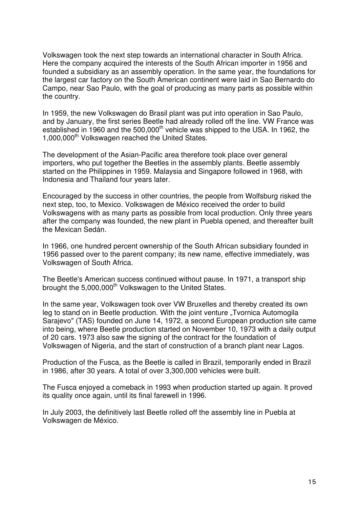Volkswagen took the next step towards an international character in South Africa. Here the company acquired the interests of the South African importer in 1956 and founded a subsidiary as an assembly operation. In the same year, the foundations for the largest car factory on the South American continent were laid in Sao Bernardo do Campo, near Sao Paulo, with the goal of producing as many parts as possible within the country.

In 1959, the new Volkswagen do Brasil plant was put into operation in Sao Paulo, and by January, the first series Beetle had already rolled off the line. VW France was established in 1960 and the 500,000<sup>th</sup> vehicle was shipped to the USA. In 1962, the 1,000,000<sup>th</sup> Volkswagen reached the United States.

The development of the Asian-Pacific area therefore took place over general importers, who put together the Beetles in the assembly plants. Beetle assembly started on the Philippines in 1959. Malaysia and Singapore followed in 1968, with Indonesia and Thailand four years later.

Encouraged by the success in other countries, the people from Wolfsburg risked the next step, too, to Mexico. Volkswagen de México received the order to build Volkswagens with as many parts as possible from local production. Only three years after the company was founded, the new plant in Puebla opened, and thereafter built the Mexican Sedán.

In 1966, one hundred percent ownership of the South African subsidiary founded in 1956 passed over to the parent company; its new name, effective immediately, was Volkswagen of South Africa.

The Beetle's American success continued without pause. In 1971, a transport ship brought the 5,000,000<sup>th</sup> Volkswagen to the United States.

In the same year, Volkswagen took over VW Bruxelles and thereby created its own leg to stand on in Beetle production. With the joint venture "Tvornica Automogila Sarajevo" (TAS) founded on June 14, 1972, a second European production site came into being, where Beetle production started on November 10, 1973 with a daily output of 20 cars. 1973 also saw the signing of the contract for the foundation of Volkswagen of Nigeria, and the start of construction of a branch plant near Lagos.

Production of the Fusca, as the Beetle is called in Brazil, temporarily ended in Brazil in 1986, after 30 years. A total of over 3,300,000 vehicles were built.

The Fusca enjoyed a comeback in 1993 when production started up again. It proved its quality once again, until its final farewell in 1996.

In July 2003, the definitively last Beetle rolled off the assembly line in Puebla at Volkswagen de México.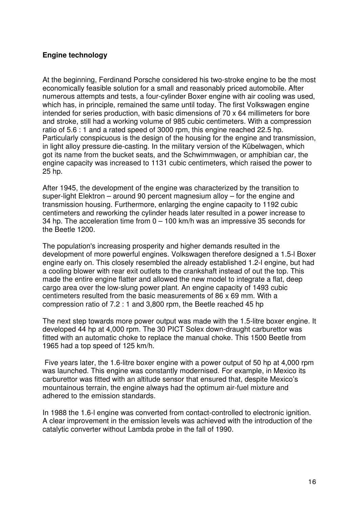## **Engine technology**

At the beginning, Ferdinand Porsche considered his two-stroke engine to be the most economically feasible solution for a small and reasonably priced automobile. After numerous attempts and tests, a four-cylinder Boxer engine with air cooling was used, which has, in principle, remained the same until today. The first Volkswagen engine intended for series production, with basic dimensions of 70 x 64 millimeters for bore and stroke, still had a working volume of 985 cubic centimeters. With a compression ratio of 5.6 : 1 and a rated speed of 3000 rpm, this engine reached 22.5 hp. Particularly conspicuous is the design of the housing for the engine and transmission, in light alloy pressure die-casting. In the military version of the Kübelwagen, which got its name from the bucket seats, and the Schwimmwagen, or amphibian car, the engine capacity was increased to 1131 cubic centimeters, which raised the power to 25 hp.

After 1945, the development of the engine was characterized by the transition to super-light Elektron – around 90 percent magnesium alloy – for the engine and transmission housing. Furthermore, enlarging the engine capacity to 1192 cubic centimeters and reworking the cylinder heads later resulted in a power increase to 34 hp. The acceleration time from 0 – 100 km/h was an impressive 35 seconds for the Beetle 1200.

The population's increasing prosperity and higher demands resulted in the development of more powerful engines. Volkswagen therefore designed a 1.5-l Boxer engine early on. This closely resembled the already established 1.2-l engine, but had a cooling blower with rear exit outlets to the crankshaft instead of out the top. This made the entire engine flatter and allowed the new model to integrate a flat, deep cargo area over the low-slung power plant. An engine capacity of 1493 cubic centimeters resulted from the basic measurements of 86 x 69 mm. With a compression ratio of 7.2 : 1 and 3,800 rpm, the Beetle reached 45 hp

The next step towards more power output was made with the 1.5-litre boxer engine. It developed 44 hp at 4,000 rpm. The 30 PICT Solex down-draught carburettor was fitted with an automatic choke to replace the manual choke. This 1500 Beetle from 1965 had a top speed of 125 km/h.

Five years later, the 1.6-litre boxer engine with a power output of 50 hp at 4,000 rpm was launched. This engine was constantly modernised. For example, in Mexico its carburettor was fitted with an altitude sensor that ensured that, despite Mexico's mountainous terrain, the engine always had the optimum air-fuel mixture and adhered to the emission standards.

In 1988 the 1.6-l engine was converted from contact-controlled to electronic ignition. A clear improvement in the emission levels was achieved with the introduction of the catalytic converter without Lambda probe in the fall of 1990.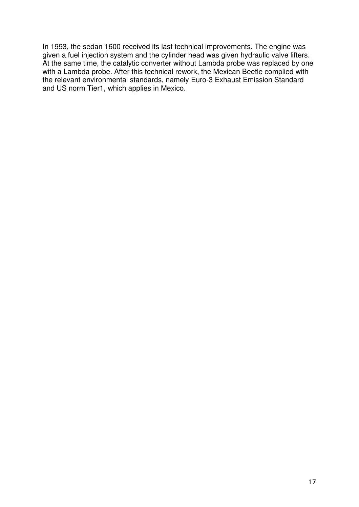In 1993, the sedan 1600 received its last technical improvements. The engine was given a fuel injection system and the cylinder head was given hydraulic valve lifters. At the same time, the catalytic converter without Lambda probe was replaced by one with a Lambda probe. After this technical rework, the Mexican Beetle complied with the relevant environmental standards, namely Euro-3 Exhaust Emission Standard and US norm Tier1, which applies in Mexico.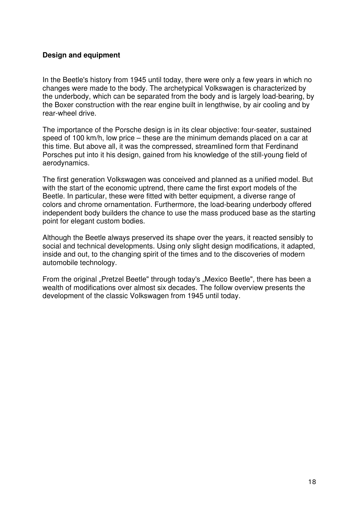## **Design and equipment**

In the Beetle's history from 1945 until today, there were only a few years in which no changes were made to the body. The archetypical Volkswagen is characterized by the underbody, which can be separated from the body and is largely load-bearing, by the Boxer construction with the rear engine built in lengthwise, by air cooling and by rear-wheel drive.

The importance of the Porsche design is in its clear objective: four-seater, sustained speed of 100 km/h, low price – these are the minimum demands placed on a car at this time. But above all, it was the compressed, streamlined form that Ferdinand Porsches put into it his design, gained from his knowledge of the still-young field of aerodynamics.

The first generation Volkswagen was conceived and planned as a unified model. But with the start of the economic uptrend, there came the first export models of the Beetle. In particular, these were fitted with better equipment, a diverse range of colors and chrome ornamentation. Furthermore, the load-bearing underbody offered independent body builders the chance to use the mass produced base as the starting point for elegant custom bodies.

Although the Beetle always preserved its shape over the years, it reacted sensibly to social and technical developments. Using only slight design modifications, it adapted, inside and out, to the changing spirit of the times and to the discoveries of modern automobile technology.

From the original "Pretzel Beetle" through today's "Mexico Beetle", there has been a wealth of modifications over almost six decades. The follow overview presents the development of the classic Volkswagen from 1945 until today.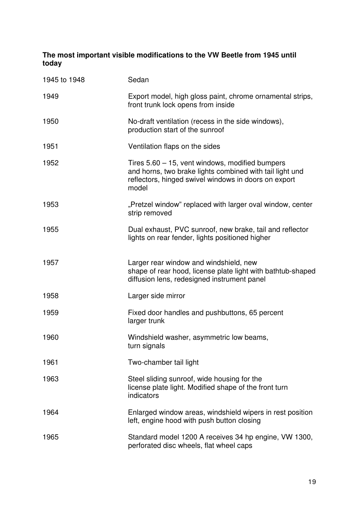## **The most important visible modifications to the VW Beetle from 1945 until today**

| 1945 to 1948 | Sedan                                                                                                                                                                        |
|--------------|------------------------------------------------------------------------------------------------------------------------------------------------------------------------------|
| 1949         | Export model, high gloss paint, chrome ornamental strips,<br>front trunk lock opens from inside                                                                              |
| 1950         | No-draft ventilation (recess in the side windows),<br>production start of the sunroof                                                                                        |
| 1951         | Ventilation flaps on the sides                                                                                                                                               |
| 1952         | Tires 5.60 - 15, vent windows, modified bumpers<br>and horns, two brake lights combined with tail light und<br>reflectors, hinged swivel windows in doors on export<br>model |
| 1953         | "Pretzel window" replaced with larger oval window, center<br>strip removed                                                                                                   |
| 1955         | Dual exhaust, PVC sunroof, new brake, tail and reflector<br>lights on rear fender, lights positioned higher                                                                  |
| 1957         | Larger rear window and windshield, new<br>shape of rear hood, license plate light with bathtub-shaped<br>diffusion lens, redesigned instrument panel                         |
| 1958         | Larger side mirror                                                                                                                                                           |
| 1959         | Fixed door handles and pushbuttons, 65 percent<br>larger trunk                                                                                                               |
| 1960         | Windshield washer, asymmetric low beams,<br>turn signals                                                                                                                     |
| 1961         | Two-chamber tail light                                                                                                                                                       |
| 1963         | Steel sliding sunroof, wide housing for the<br>license plate light. Modified shape of the front turn<br>indicators                                                           |
| 1964         | Enlarged window areas, windshield wipers in rest position<br>left, engine hood with push button closing                                                                      |
| 1965         | Standard model 1200 A receives 34 hp engine, VW 1300,<br>perforated disc wheels, flat wheel caps                                                                             |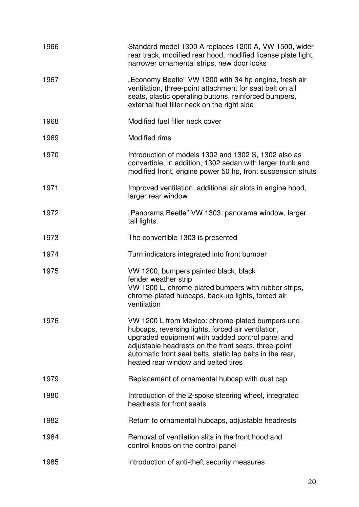| 1966 | Standard model 1300 A replaces 1200 A, VW 1500, wider<br>rear track, modified rear hood, modified license plate light,<br>narrower ornamental strips, new door locks                                                                                                                                                   |
|------|------------------------------------------------------------------------------------------------------------------------------------------------------------------------------------------------------------------------------------------------------------------------------------------------------------------------|
| 1967 | "Economy Beetle" VW 1200 with 34 hp engine, fresh air<br>ventilation, three-point attachment for seat belt on all<br>seats, plastic operating buttons, reinforced bumpers,<br>external fuel filler neck on the right side                                                                                              |
| 1968 | Modified fuel filler neck cover                                                                                                                                                                                                                                                                                        |
| 1969 | Modified rims                                                                                                                                                                                                                                                                                                          |
| 1970 | Introduction of models 1302 and 1302 S, 1302 also as<br>convertible, in addition, 1302 sedan with larger trunk and<br>modified front, engine power 50 hp, front suspension struts                                                                                                                                      |
| 1971 | Improved ventilation, additional air slots in engine hood,<br>larger rear window                                                                                                                                                                                                                                       |
| 1972 | "Panorama Beetle" VW 1303: panorama window, larger<br>tail lights.                                                                                                                                                                                                                                                     |
| 1973 | The convertible 1303 is presented                                                                                                                                                                                                                                                                                      |
| 1974 | Turn indicators integrated into front bumper                                                                                                                                                                                                                                                                           |
| 1975 | VW 1200, bumpers painted black, black<br>fender weather strip<br>VW 1200 L, chrome-plated bumpers with rubber strips,<br>chrome-plated hubcaps, back-up lights, forced air<br>ventilation                                                                                                                              |
| 1976 | VW 1200 L from Mexico: chrome-plated bumpers und<br>hubcaps, reversing lights, forced air ventilation,<br>upgraded equipment with padded control panel and<br>adjustable headrests on the front seats, three-point<br>automatic front seat belts, static lap belts in the rear,<br>heated rear window and belted tires |
| 1979 | Replacement of ornamental hubcap with dust cap                                                                                                                                                                                                                                                                         |
| 1980 | Introduction of the 2-spoke steering wheel, integrated<br>headrests for front seats                                                                                                                                                                                                                                    |
| 1982 | Return to ornamental hubcaps, adjustable headrests                                                                                                                                                                                                                                                                     |
| 1984 | Removal of ventilation slits in the front hood and<br>control knobs on the control panel                                                                                                                                                                                                                               |
| 1985 | Introduction of anti-theft security measures                                                                                                                                                                                                                                                                           |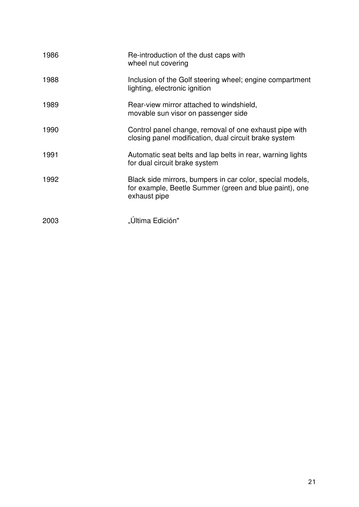| 1986 | Re-introduction of the dust caps with<br>wheel nut covering                                                                         |
|------|-------------------------------------------------------------------------------------------------------------------------------------|
| 1988 | Inclusion of the Golf steering wheel; engine compartment<br>lighting, electronic ignition                                           |
| 1989 | Rear-view mirror attached to windshield,<br>movable sun visor on passenger side                                                     |
| 1990 | Control panel change, removal of one exhaust pipe with<br>closing panel modification, dual circuit brake system                     |
| 1991 | Automatic seat belts and lap belts in rear, warning lights<br>for dual circuit brake system                                         |
| 1992 | Black side mirrors, bumpers in car color, special models,<br>for example, Beetle Summer (green and blue paint), one<br>exhaust pipe |
| 2003 | "Última Edición"                                                                                                                    |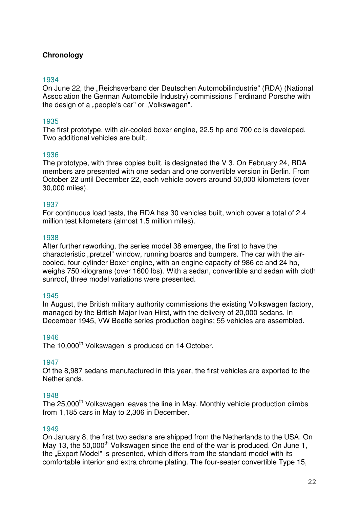## **Chronology**

#### 1934

On June 22, the "Reichsverband der Deutschen Automobilindustrie" (RDA) (National Association the German Automobile Industry) commissions Ferdinand Porsche with the design of a "people's car" or "Volkswagen".

#### 1935

The first prototype, with air-cooled boxer engine, 22.5 hp and 700 cc is developed. Two additional vehicles are built.

#### 1936

The prototype, with three copies built, is designated the V 3. On February 24, RDA members are presented with one sedan and one convertible version in Berlin. From October 22 until December 22, each vehicle covers around 50,000 kilometers (over 30,000 miles).

#### 1937

For continuous load tests, the RDA has 30 vehicles built, which cover a total of 2.4 million test kilometers (almost 1.5 million miles).

#### 1938

After further reworking, the series model 38 emerges, the first to have the characteristic "pretzel" window, running boards and bumpers. The car with the aircooled, four-cylinder Boxer engine, with an engine capacity of 986 cc and 24 hp, weighs 750 kilograms (over 1600 lbs). With a sedan, convertible and sedan with cloth sunroof, three model variations were presented.

#### 1945

In August, the British military authority commissions the existing Volkswagen factory, managed by the British Major Ivan Hirst, with the delivery of 20,000 sedans. In December 1945, VW Beetle series production begins; 55 vehicles are assembled.

#### 1946

The 10,000<sup>th</sup> Volkswagen is produced on 14 October.

#### 1947

Of the 8,987 sedans manufactured in this year, the first vehicles are exported to the Netherlands.

#### 1948

The 25,000<sup>th</sup> Volkswagen leaves the line in May. Monthly vehicle production climbs from 1,185 cars in May to 2,306 in December.

#### 1949

On January 8, the first two sedans are shipped from the Netherlands to the USA. On May 13, the 50,000<sup>th</sup> Volkswagen since the end of the war is produced. On June 1, the "Export Model" is presented, which differs from the standard model with its comfortable interior and extra chrome plating. The four-seater convertible Type 15,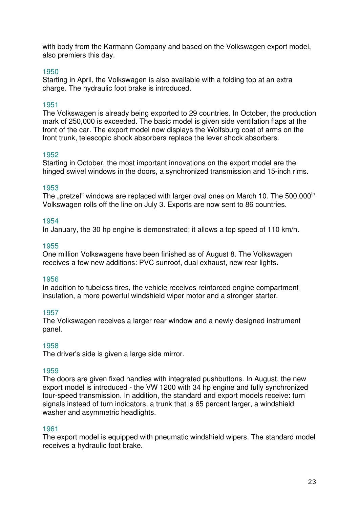with body from the Karmann Company and based on the Volkswagen export model, also premiers this day.

#### 1950

Starting in April, the Volkswagen is also available with a folding top at an extra charge. The hydraulic foot brake is introduced.

#### 1951

The Volkswagen is already being exported to 29 countries. In October, the production mark of 250,000 is exceeded. The basic model is given side ventilation flaps at the front of the car. The export model now displays the Wolfsburg coat of arms on the front trunk, telescopic shock absorbers replace the lever shock absorbers.

#### 1952

Starting in October, the most important innovations on the export model are the hinged swivel windows in the doors, a synchronized transmission and 15-inch rims.

#### 1953

The "pretzel" windows are replaced with larger oval ones on March 10. The 500,000<sup>th</sup> Volkswagen rolls off the line on July 3. Exports are now sent to 86 countries.

#### 1954

In January, the 30 hp engine is demonstrated; it allows a top speed of 110 km/h.

#### 1955

One million Volkswagens have been finished as of August 8. The Volkswagen receives a few new additions: PVC sunroof, dual exhaust, new rear lights.

#### 1956

In addition to tubeless tires, the vehicle receives reinforced engine compartment insulation, a more powerful windshield wiper motor and a stronger starter.

#### 1957

The Volkswagen receives a larger rear window and a newly designed instrument panel.

#### 1958

The driver's side is given a large side mirror.

#### 1959

The doors are given fixed handles with integrated pushbuttons. In August, the new export model is introduced - the VW 1200 with 34 hp engine and fully synchronized four-speed transmission. In addition, the standard and export models receive: turn signals instead of turn indicators, a trunk that is 65 percent larger, a windshield washer and asymmetric headlights.

#### 1961

The export model is equipped with pneumatic windshield wipers. The standard model receives a hydraulic foot brake.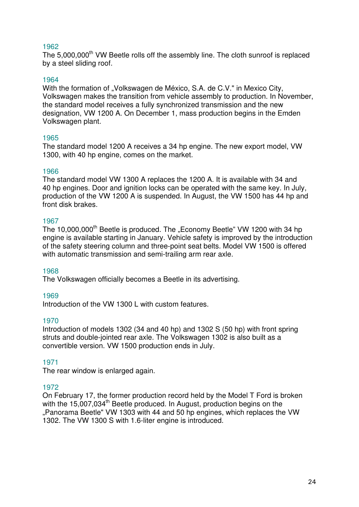#### 1962

The 5,000,000<sup>th</sup> VW Beetle rolls off the assembly line. The cloth sunroof is replaced by a steel sliding roof.

## 1964

With the formation of "Volkswagen de México, S.A. de C.V." in Mexico City, Volkswagen makes the transition from vehicle assembly to production. In November, the standard model receives a fully synchronized transmission and the new designation, VW 1200 A. On December 1, mass production begins in the Emden Volkswagen plant.

## 1965

The standard model 1200 A receives a 34 hp engine. The new export model, VW 1300, with 40 hp engine, comes on the market.

## 1966

The standard model VW 1300 A replaces the 1200 A. It is available with 34 and 40 hp engines. Door and ignition locks can be operated with the same key. In July, production of the VW 1200 A is suspended. In August, the VW 1500 has 44 hp and front disk brakes.

## 1967

The 10,000,000<sup>th</sup> Beetle is produced. The "Economy Beetle" VW 1200 with 34 hp engine is available starting in January. Vehicle safety is improved by the introduction of the safety steering column and three-point seat belts. Model VW 1500 is offered with automatic transmission and semi-trailing arm rear axle.

#### 1968

The Volkswagen officially becomes a Beetle in its advertising.

## 1969

Introduction of the VW 1300 L with custom features.

#### 1970

Introduction of models 1302 (34 and 40 hp) and 1302 S (50 hp) with front spring struts and double-jointed rear axle. The Volkswagen 1302 is also built as a convertible version. VW 1500 production ends in July.

## 1971

The rear window is enlarged again.

## 1972

On February 17, the former production record held by the Model T Ford is broken with the 15,007,034<sup>th</sup> Beetle produced. In August, production begins on the . Panorama Beetle" VW 1303 with 44 and 50 hp engines, which replaces the VW 1302. The VW 1300 S with 1.6-liter engine is introduced.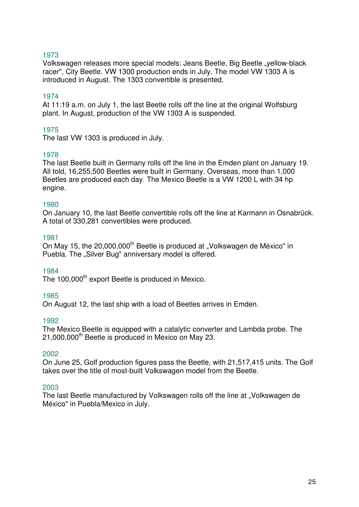## 1973

Volkswagen releases more special models: Jeans Beetle, Big Beetle "yellow-black racer", City Beetle. VW 1300 production ends in July. The model VW 1303 A is introduced in August. The 1303 convertible is presented.

## 1974

At 11:19 a.m. on July 1, the last Beetle rolls off the line at the original Wolfsburg plant. In August, production of the VW 1303 A is suspended.

## 1975

The last VW 1303 is produced in July.

#### 1978

The last Beetle built in Germany rolls off the line in the Emden plant on January 19. All told, 16,255,500 Beetles were built in Germany. Overseas, more than 1,000 Beetles are produced each day. The Mexico Beetle is a VW 1200 L with 34 hp engine.

#### 1980

On January 10, the last Beetle convertible rolls off the line at Karmann in Osnabrück. A total of 330,281 convertibles were produced.

#### 1981

On May 15, the 20,000,000<sup>th</sup> Beetle is produced at "Volkswagen de México" in Puebla. The "Silver Bug" anniversary model is offered.

#### 1984

The 100,000<sup>th</sup> export Beetle is produced in Mexico.

#### 1985

On August 12, the last ship with a load of Beetles arrives in Emden.

#### 1992

The Mexico Beetle is equipped with a catalytic converter and Lambda probe. The 21,000,000<sup>th</sup> Beetle is produced in Mexico on May 23.

#### 2002

On June 25, Golf production figures pass the Beetle, with 21,517,415 units. The Golf takes over the title of most-built Volkswagen model from the Beetle.

#### 2003

The last Beetle manufactured by Volkswagen rolls off the line at "Volkswagen de México" in Puebla/Mexico in July.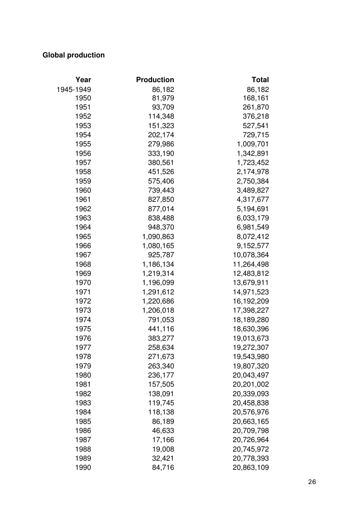## **Global production**

| Year      | <b>Production</b> | <b>Total</b> |
|-----------|-------------------|--------------|
| 1945-1949 | 86,182            | 86,182       |
| 1950      | 81,979            | 168,161      |
| 1951      | 93,709            | 261,870      |
| 1952      | 114,348           | 376,218      |
| 1953      | 151,323           | 527,541      |
| 1954      | 202,174           | 729,715      |
| 1955      | 279,986           | 1,009,701    |
| 1956      | 333,190           | 1,342,891    |
| 1957      | 380,561           | 1,723,452    |
| 1958      | 451,526           | 2,174,978    |
| 1959      | 575,406           | 2,750,384    |
| 1960      | 739,443           | 3,489,827    |
| 1961      | 827,850           | 4,317,677    |
| 1962      | 877,014           | 5,194,691    |
| 1963      | 838,488           | 6,033,179    |
| 1964      | 948,370           | 6,981,549    |
| 1965      | 1,090,863         | 8,072,412    |
| 1966      | 1,080,165         | 9,152,577    |
| 1967      | 925,787           | 10,078,364   |
| 1968      | 1,186,134         | 11,264,498   |
| 1969      | 1,219,314         | 12,483,812   |
| 1970      | 1,196,099         | 13,679,911   |
| 1971      | 1,291,612         | 14,971,523   |
| 1972      | 1,220,686         | 16,192,209   |
| 1973      | 1,206,018         | 17,398,227   |
| 1974      | 791,053           | 18,189,280   |
| 1975      | 441,116           | 18,630,396   |
| 1976      | 383,277           | 19,013,673   |
| 1977      | 258,634           | 19,272,307   |
| 1978      | 271,673           | 19,543,980   |
| 1979      | 263,340           | 19,807,320   |
| 1980      | 236,177           | 20,043,497   |
| 1981      | 157,505           | 20,201,002   |
| 1982      | 138,091           | 20,339,093   |
| 1983      | 119,745           | 20,458,838   |
| 1984      | 118,138           | 20,576,976   |
| 1985      | 86,189            | 20,663,165   |
| 1986      | 46,633            | 20,709,798   |
| 1987      | 17,166            | 20,726,964   |
| 1988      | 19,008            | 20,745,972   |
| 1989      | 32,421            | 20,778,393   |
| 1990      | 84,716            | 20,863,109   |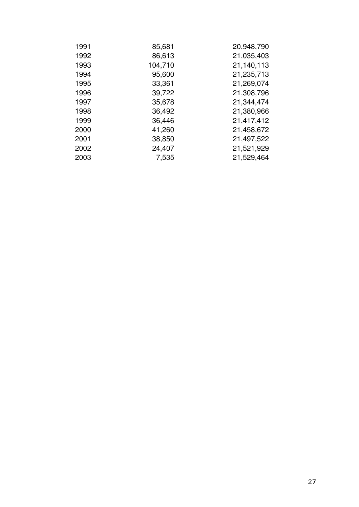| 1991 | 85,681  | 20,948,790 |
|------|---------|------------|
| 1992 | 86,613  | 21,035,403 |
| 1993 | 104,710 | 21,140,113 |
| 1994 | 95,600  | 21,235,713 |
| 1995 | 33,361  | 21,269,074 |
| 1996 | 39,722  | 21,308,796 |
| 1997 | 35,678  | 21,344,474 |
| 1998 | 36,492  | 21,380,966 |
| 1999 | 36,446  | 21,417,412 |
| 2000 | 41,260  | 21,458,672 |
| 2001 | 38,850  | 21,497,522 |
| 2002 | 24,407  | 21,521,929 |
| 2003 | 7,535   | 21,529,464 |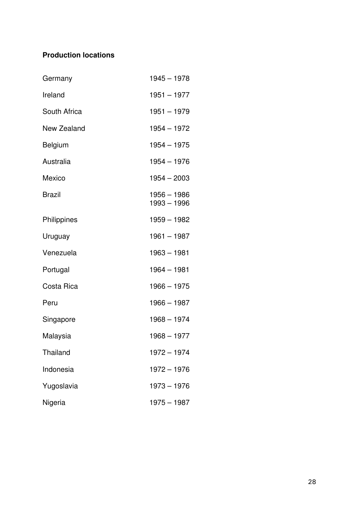## **Production locations**

| Germany         | $1945 - 1978$              |
|-----------------|----------------------------|
| Ireland         | $1951 - 1977$              |
| South Africa    | $1951 - 1979$              |
| New Zealand     | 1954 - 1972                |
| <b>Belgium</b>  | $1954 - 1975$              |
| Australia       | $1954 - 1976$              |
| Mexico          | $1954 - 2003$              |
| <b>Brazil</b>   | 1956 - 1986<br>1993 - 1996 |
| Philippines     | $1959 - 1982$              |
| Uruguay         | $1961 - 1987$              |
| Venezuela       | 1963 - 1981                |
| Portugal        | $1964 - 1981$              |
| Costa Rica      | $1966 - 1975$              |
| Peru            | $1966 - 1987$              |
| Singapore       | $1968 - 1974$              |
| Malaysia        | $1968 - 1977$              |
| <b>Thailand</b> | $1972 - 1974$              |
| Indonesia       | 1972 - 1976                |
| Yugoslavia      | $1973 - 1976$              |
| Nigeria         | $1975 - 1987$              |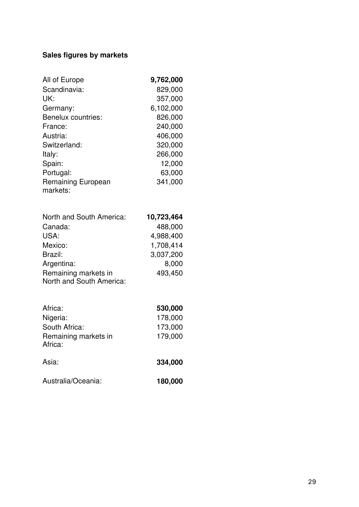## Sales figures by markets

| All of Europe                   | 9,762,000  |
|---------------------------------|------------|
| Scandinavia:                    | 829,000    |
| UK:                             | 357,000    |
| Germany:                        | 6,102,000  |
| <b>Benelux countries:</b>       | 826,000    |
| France:                         | 240,000    |
| Austria:                        | 406,000    |
| Switzerland:                    | 320,000    |
| Italy:                          | 266,000    |
| Spain:                          | 12,000     |
| Portugal:                       | 63,000     |
| Remaining European              | 341,000    |
| markets:                        |            |
| North and South America:        | 10,723,464 |
| Canada:                         | 488,000    |
| USA:                            | 4,988,400  |
| Mexico:                         | 1,708,414  |
| Brazil:                         | 3,037,200  |
| Argentina:                      | 8,000      |
| Remaining markets in            | 493,450    |
| North and South America:        |            |
| Africa:                         | 530,000    |
| Nigeria:                        | 178,000    |
| South Africa:                   | 173,000    |
| Remaining markets in<br>Africa: | 179,000    |
| Asia:                           | 334,000    |
| Australia/Oceania:              | 180,000    |